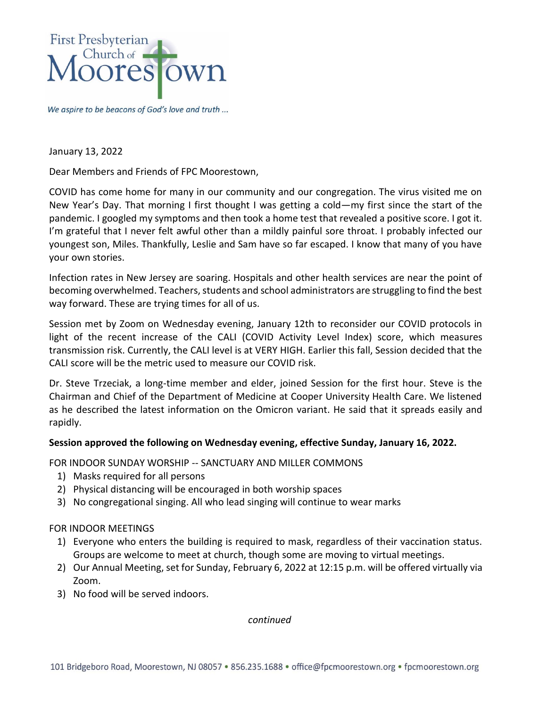

We aspire to be beacons of God's love and truth ...

January 13, 2022

Dear Members and Friends of FPC Moorestown,

COVID has come home for many in our community and our congregation. The virus visited me on New Year's Day. That morning I first thought I was getting a cold—my first since the start of the pandemic. I googled my symptoms and then took a home test that revealed a positive score. I got it. I'm grateful that I never felt awful other than a mildly painful sore throat. I probably infected our youngest son, Miles. Thankfully, Leslie and Sam have so far escaped. I know that many of you have your own stories.

Infection rates in New Jersey are soaring. Hospitals and other health services are near the point of becoming overwhelmed. Teachers, students and school administrators are struggling to find the best way forward. These are trying times for all of us.

Session met by Zoom on Wednesday evening, January 12th to reconsider our COVID protocols in light of the recent increase of the CALI (COVID Activity Level Index) score, which measures transmission risk. Currently, the CALI level is at VERY HIGH. Earlier this fall, Session decided that the CALI score will be the metric used to measure our COVID risk.

Dr. Steve Trzeciak, a long-time member and elder, joined Session for the first hour. Steve is the Chairman and Chief of the Department of Medicine at Cooper University Health Care. We listened as he described the latest information on the Omicron variant. He said that it spreads easily and rapidly.

## **Session approved the following on Wednesday evening, effective Sunday, January 16, 2022.**

FOR INDOOR SUNDAY WORSHIP -- SANCTUARY AND MILLER COMMONS

- 1) Masks required for all persons
- 2) Physical distancing will be encouraged in both worship spaces
- 3) No congregational singing. All who lead singing will continue to wear marks

## FOR INDOOR MEETINGS

- 1) Everyone who enters the building is required to mask, regardless of their vaccination status. Groups are welcome to meet at church, though some are moving to virtual meetings.
- 2) Our Annual Meeting, set for Sunday, February 6, 2022 at 12:15 p.m. will be offered virtually via Zoom.
- 3) No food will be served indoors.

*continued*